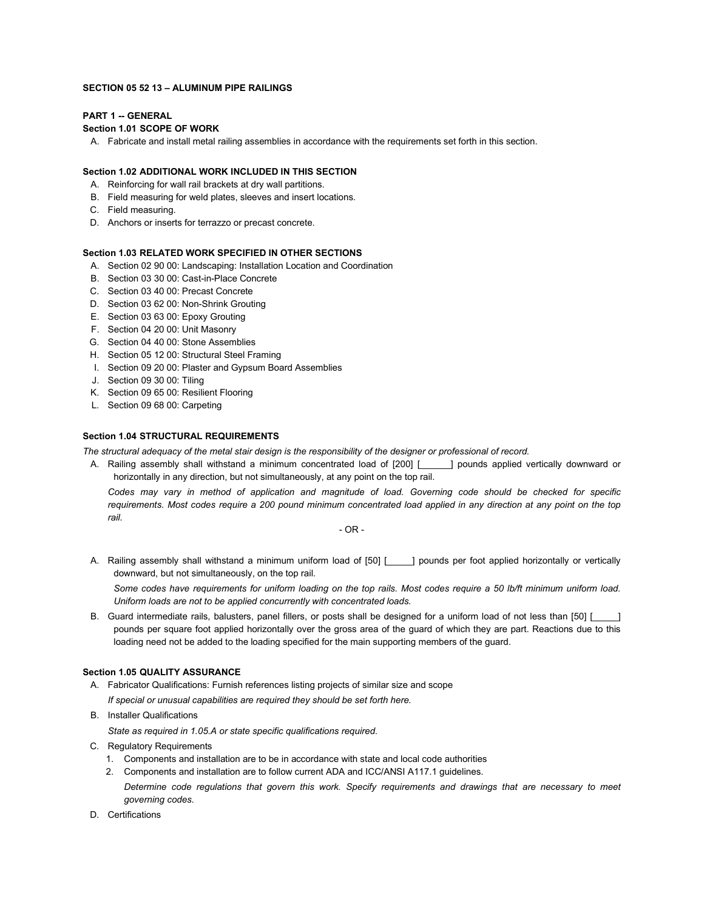#### **SECTION 05 52 13 – ALUMINUM PIPE RAILINGS**

# **PART 1 -- GENERAL**

# **Section 1.01 SCOPE OF WORK**

A. Fabricate and install metal railing assemblies in accordance with the requirements set forth in this section.

## **Section 1.02 ADDITIONAL WORK INCLUDED IN THIS SECTION**

- A. Reinforcing for wall rail brackets at dry wall partitions.
- B. Field measuring for weld plates, sleeves and insert locations.
- C. Field measuring.
- D. Anchors or inserts for terrazzo or precast concrete.

# **Section 1.03 RELATED WORK SPECIFIED IN OTHER SECTIONS**

- A. Section 02 90 00: Landscaping: Installation Location and Coordination
- B. Section 03 30 00: Cast-in-Place Concrete
- C. Section 03 40 00: Precast Concrete
- D. Section 03 62 00: Non-Shrink Grouting
- E. Section 03 63 00: Epoxy Grouting
- F. Section 04 20 00: Unit Masonry
- G. Section 04 40 00: Stone Assemblies
- H. Section 05 12 00: Structural Steel Framing
- I. Section 09 20 00: Plaster and Gypsum Board Assemblies
- J. Section 09 30 00: Tiling
- K. Section 09 65 00: Resilient Flooring
- L. Section 09 68 00: Carpeting

## **Section 1.04 STRUCTURAL REQUIREMENTS**

*The structural adequacy of the metal stair design is the responsibility of the designer or professional of record.*

A. Railing assembly shall withstand a minimum concentrated load of [200] [ ] pounds applied vertically downward or horizontally in any direction, but not simultaneously, at any point on the top rail.

*Codes may vary in method of application and magnitude of load. Governing code should be checked for specific*  requirements. Most codes require a 200 pound minimum concentrated load applied in any direction at any point on the top *rail.*

- OR -

A. Railing assembly shall withstand a minimum uniform load of [50] [ \_\_\_\_] pounds per foot applied horizontally or vertically downward, but not simultaneously, on the top rail.

*Some codes have requirements for uniform loading on the top rails. Most codes require a 50 lb/ft minimum uniform load. Uniform loads are not to be applied concurrently with concentrated loads.*

B. Guard intermediate rails, balusters, panel fillers, or posts shall be designed for a uniform load of not less than [50] [ pounds per square foot applied horizontally over the gross area of the guard of which they are part. Reactions due to this loading need not be added to the loading specified for the main supporting members of the guard.

## **Section 1.05 QUALITY ASSURANCE**

- A. Fabricator Qualifications: Furnish references listing projects of similar size and scope *If special or unusual capabilities are required they should be set forth here.*
- B. Installer Qualifications

*State as required in 1.05.A or state specific qualifications required.*

- C. Regulatory Requirements
	- 1. Components and installation are to be in accordance with state and local code authorities
	- 2. Components and installation are to follow current ADA and ICC/ANSI A117.1 guidelines.
	- *Determine code regulations that govern this work. Specify requirements and drawings that are necessary to meet governing codes.*
- D. Certifications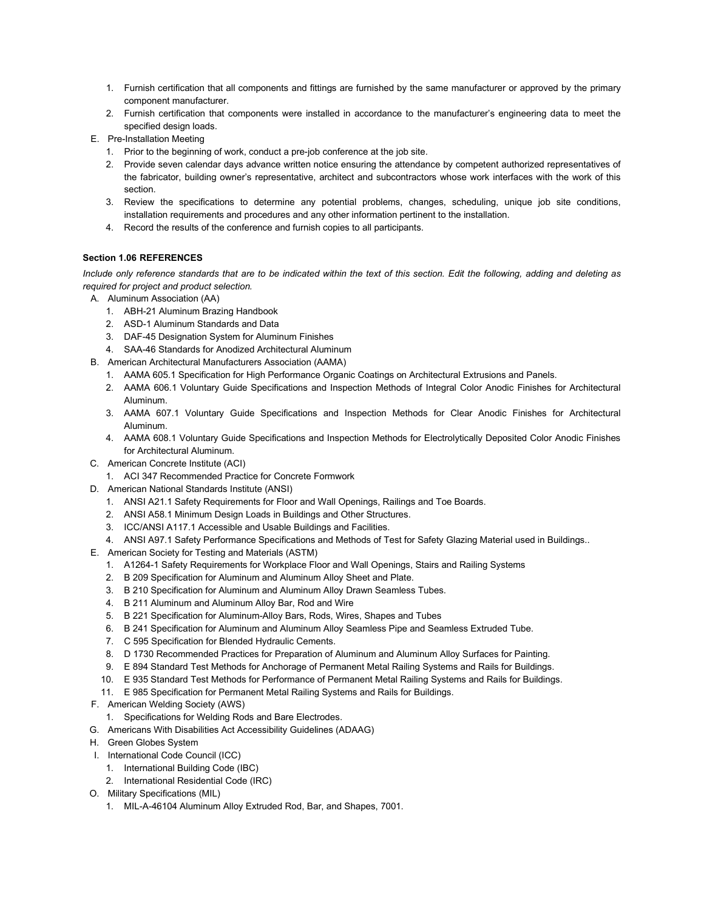- 1. Furnish certification that all components and fittings are furnished by the same manufacturer or approved by the primary component manufacturer.
- 2. Furnish certification that components were installed in accordance to the manufacturer's engineering data to meet the specified design loads.
- E. Pre-Installation Meeting
	- 1. Prior to the beginning of work, conduct a pre-job conference at the job site.
	- 2. Provide seven calendar days advance written notice ensuring the attendance by competent authorized representatives of the fabricator, building owner's representative, architect and subcontractors whose work interfaces with the work of this section.
	- 3. Review the specifications to determine any potential problems, changes, scheduling, unique job site conditions, installation requirements and procedures and any other information pertinent to the installation.
	- 4. Record the results of the conference and furnish copies to all participants.

# **Section 1.06 REFERENCES**

*Include only reference standards that are to be indicated within the text of this section. Edit the following, adding and deleting as required for project and product selection.* 

- A. Aluminum Association (AA)
	- 1. ABH-21 Aluminum Brazing Handbook
	- 2. ASD-1 Aluminum Standards and Data
	- 3. DAF-45 Designation System for Aluminum Finishes
	- 4. SAA-46 Standards for Anodized Architectural Aluminum
- B. American Architectural Manufacturers Association (AAMA)
	- 1. AAMA 605.1 Specification for High Performance Organic Coatings on Architectural Extrusions and Panels.
	- 2. AAMA 606.1 Voluntary Guide Specifications and Inspection Methods of Integral Color Anodic Finishes for Architectural Aluminum.
	- 3. AAMA 607.1 Voluntary Guide Specifications and Inspection Methods for Clear Anodic Finishes for Architectural Aluminum.
	- 4. AAMA 608.1 Voluntary Guide Specifications and Inspection Methods for Electrolytically Deposited Color Anodic Finishes for Architectural Aluminum.
- C. American Concrete Institute (ACI)
	- 1. ACI 347 Recommended Practice for Concrete Formwork
- D. American National Standards Institute (ANSI)
	- 1. ANSI A21.1 Safety Requirements for Floor and Wall Openings, Railings and Toe Boards.
	- 2. ANSI A58.1 Minimum Design Loads in Buildings and Other Structures.
	- 3. ICC/ANSI A117.1 Accessible and Usable Buildings and Facilities.
	- 4. ANSI A97.1 Safety Performance Specifications and Methods of Test for Safety Glazing Material used in Buildings..
- E. American Society for Testing and Materials (ASTM)
	- 1. A1264-1 Safety Requirements for Workplace Floor and Wall Openings, Stairs and Railing Systems
	- 2. B 209 Specification for Aluminum and Aluminum Alloy Sheet and Plate.
	- 3. B 210 Specification for Aluminum and Aluminum Alloy Drawn Seamless Tubes.
	- 4. B 211 Aluminum and Aluminum Alloy Bar, Rod and Wire
	- 5. B 221 Specification for Aluminum-Alloy Bars, Rods, Wires, Shapes and Tubes
	- 6. B 241 Specification for Aluminum and Aluminum Alloy Seamless Pipe and Seamless Extruded Tube.
	- 7. C 595 Specification for Blended Hydraulic Cements.
	- 8. D 1730 Recommended Practices for Preparation of Aluminum and Aluminum Alloy Surfaces for Painting.
	- 9. E 894 Standard Test Methods for Anchorage of Permanent Metal Railing Systems and Rails for Buildings.
	- 10. E 935 Standard Test Methods for Performance of Permanent Metal Railing Systems and Rails for Buildings.
	- 11. E 985 Specification for Permanent Metal Railing Systems and Rails for Buildings.
- F. American Welding Society (AWS)
	- 1. Specifications for Welding Rods and Bare Electrodes.
- G. Americans With Disabilities Act Accessibility Guidelines (ADAAG)
- H. Green Globes System
- I. International Code Council (ICC)
	- 1. International Building Code (IBC)
	- 2. International Residential Code (IRC)
- O. Military Specifications (MIL)
	- 1. MIL-A-46104 Aluminum Alloy Extruded Rod, Bar, and Shapes, 7001.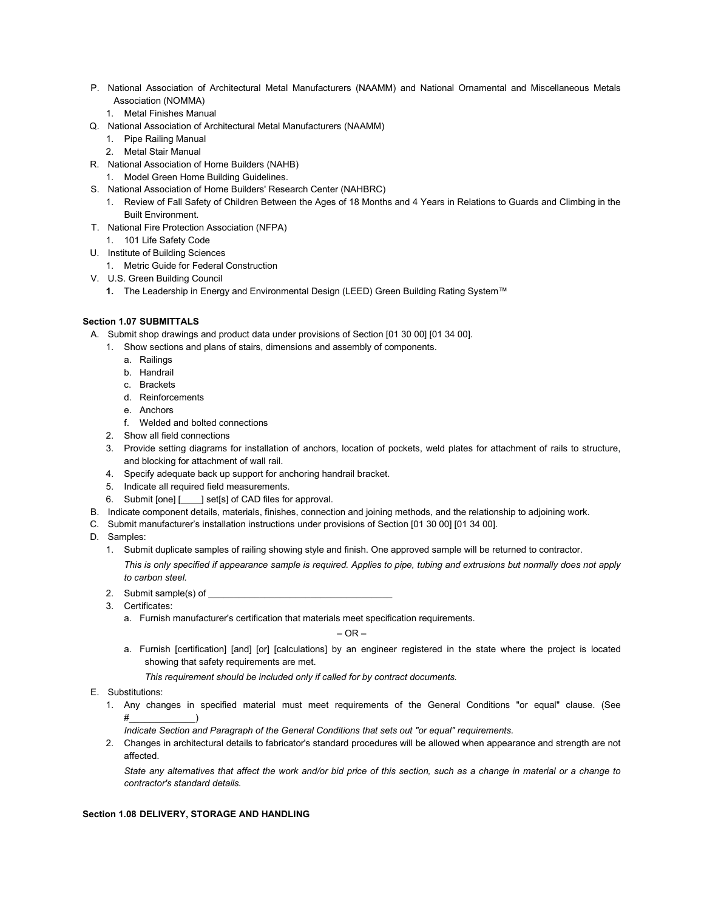- P. National Association of Architectural Metal Manufacturers (NAAMM) and National Ornamental and Miscellaneous Metals Association (NOMMA)
	- 1. Metal Finishes Manual
- Q. National Association of Architectural Metal Manufacturers (NAAMM)
	- 1. Pipe Railing Manual
	- 2. Metal Stair Manual
- R. National Association of Home Builders (NAHB)
	- 1. Model Green Home Building Guidelines.
- S. National Association of Home Builders' Research Center (NAHBRC)
	- 1. Review of Fall Safety of Children Between the Ages of 18 Months and 4 Years in Relations to Guards and Climbing in the Built Environment.
- T. National Fire Protection Association (NFPA)
- 1. 101 Life Safety Code
- U. Institute of Building Sciences
	- 1. Metric Guide for Federal Construction
- V. U.S. Green Building Council
	- **1.** The Leadership in Energy and Environmental Design (LEED) Green Building Rating System™

# **Section 1.07 SUBMITTALS**

- A. Submit shop drawings and product data under provisions of Section [01 30 00] [01 34 00].
	- 1. Show sections and plans of stairs, dimensions and assembly of components.
		- a. Railings
		- b. Handrail
		- c. Brackets
		- d. Reinforcements
		- e. Anchors
		- f. Welded and bolted connections
	- 2. Show all field connections
	- 3. Provide setting diagrams for installation of anchors, location of pockets, weld plates for attachment of rails to structure, and blocking for attachment of wall rail.
	- 4. Specify adequate back up support for anchoring handrail bracket.
	- 5. Indicate all required field measurements.
	- 6. Submit [one] [\_\_\_\_] set[s] of CAD files for approval.
- B. Indicate component details, materials, finishes, connection and joining methods, and the relationship to adjoining work.
- C. Submit manufacturer's installation instructions under provisions of Section [01 30 00] [01 34 00].
- D. Samples:
	- 1. Submit duplicate samples of railing showing style and finish. One approved sample will be returned to contractor.

*This is only specified if appearance sample is required. Applies to pipe, tubing and extrusions but normally does not apply to carbon steel.*

- 2. Submit sample(s) of
- 3. Certificates:
	- a. Furnish manufacturer's certification that materials meet specification requirements.

 $-$  OR  $-$ 

a. Furnish [certification] [and] [or] [calculations] by an engineer registered in the state where the project is located showing that safety requirements are met.

*This requirement should be included only if called for by contract documents.*

- E. Substitutions:
	- 1. Any changes in specified material must meet requirements of the General Conditions "or equal" clause. (See #\_\_\_\_\_\_\_\_\_\_\_\_\_)
		- *Indicate Section and Paragraph of the General Conditions that sets out "or equal" requirements.*
	- 2. Changes in architectural details to fabricator's standard procedures will be allowed when appearance and strength are not affected.

*State any alternatives that affect the work and/or bid price of this section, such as a change in material or a change to contractor's standard details.*

# **Section 1.08 DELIVERY, STORAGE AND HANDLING**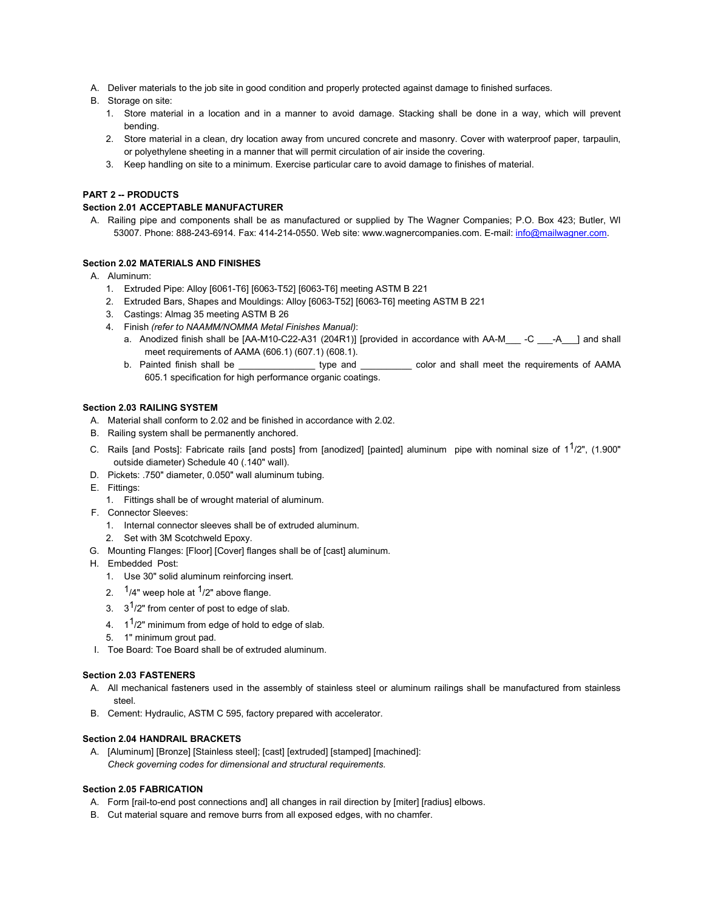- A. Deliver materials to the job site in good condition and properly protected against damage to finished surfaces.
- B. Storage on site:
	- 1. Store material in a location and in a manner to avoid damage. Stacking shall be done in a way, which will prevent bending.
	- 2. Store material in a clean, dry location away from uncured concrete and masonry. Cover with waterproof paper, tarpaulin, or polyethylene sheeting in a manner that will permit circulation of air inside the covering.
	- 3. Keep handling on site to a minimum. Exercise particular care to avoid damage to finishes of material.

# **PART 2 -- PRODUCTS**

# **Section 2.01 ACCEPTABLE MANUFACTURER**

A. Railing pipe and components shall be as manufactured or supplied by The Wagner Companies; P.O. Box 423; Butler, WI 53007. Phone: 888-243-6914. Fax: 414-214-0550. Web site: www.wagnercompanies.com. E-mail[: info@mailwagner.com.](mailto:info@mailwagner.com)

#### **Section 2.02 MATERIALS AND FINISHES**

- A. Aluminum:
	- 1. Extruded Pipe: Alloy [6061-T6] [6063-T52] [6063-T6] meeting ASTM B 221
	- 2. Extruded Bars, Shapes and Mouldings: Alloy [6063-T52] [6063-T6] meeting ASTM B 221
	- 3. Castings: Almag 35 meeting ASTM B 26
	- 4. Finish *(refer to NAAMM/NOMMA Metal Finishes Manual)*:
		- a. Anodized finish shall be [AA-M10-C22-A31 (204R1)] [provided in accordance with AA-M -C -A \_\_] and shall meet requirements of AAMA (606.1) (607.1) (608.1).
		- b. Painted finish shall be \_\_\_\_\_\_\_\_\_\_\_\_\_\_\_\_\_\_\_\_\_\_ type and \_\_\_\_\_\_\_\_\_\_\_\_\_\_\_ color and shall meet the requirements of AAMA 605.1 specification for high performance organic coatings.

### **Section 2.03 RAILING SYSTEM**

- A. Material shall conform to 2.02 and be finished in accordance with 2.02.
- B. Railing system shall be permanently anchored.
- C. Rails [and Posts]: Fabricate rails [and posts] from [anodized] [painted] aluminum pipe with nominal size of  $1^1/2$ ", (1.900" outside diameter) Schedule 40 (.140" wall).
- D. Pickets: .750" diameter, 0.050" wall aluminum tubing.
- E. Fittings:
	- 1. Fittings shall be of wrought material of aluminum.
- F. Connector Sleeves:
	- 1. Internal connector sleeves shall be of extruded aluminum.
	- 2. Set with 3M Scotchweld Epoxy.
- G. Mounting Flanges: [Floor] [Cover] flanges shall be of [cast] aluminum.
- H. Embedded Post:
	- 1. Use 30" solid aluminum reinforcing insert.
	- 2.  $1/4$ " weep hole at  $1/2$ " above flange.
	- 3.  $3^1/2$ " from center of post to edge of slab.
	- 4.  $1^{1/2}$ " minimum from edge of hold to edge of slab.
	- 5. 1" minimum grout pad.
- I. Toe Board: Toe Board shall be of extruded aluminum.

## **Section 2.03 FASTENERS**

- A. All mechanical fasteners used in the assembly of stainless steel or aluminum railings shall be manufactured from stainless steel.
- B. Cement: Hydraulic, ASTM C 595, factory prepared with accelerator.

### **Section 2.04 HANDRAIL BRACKETS**

A. [Aluminum] [Bronze] [Stainless steel]; [cast] [extruded] [stamped] [machined]: *Check governing codes for dimensional and structural requirements.*

## **Section 2.05 FABRICATION**

- A. Form [rail-to-end post connections and] all changes in rail direction by [miter] [radius] elbows.
- B. Cut material square and remove burrs from all exposed edges, with no chamfer.